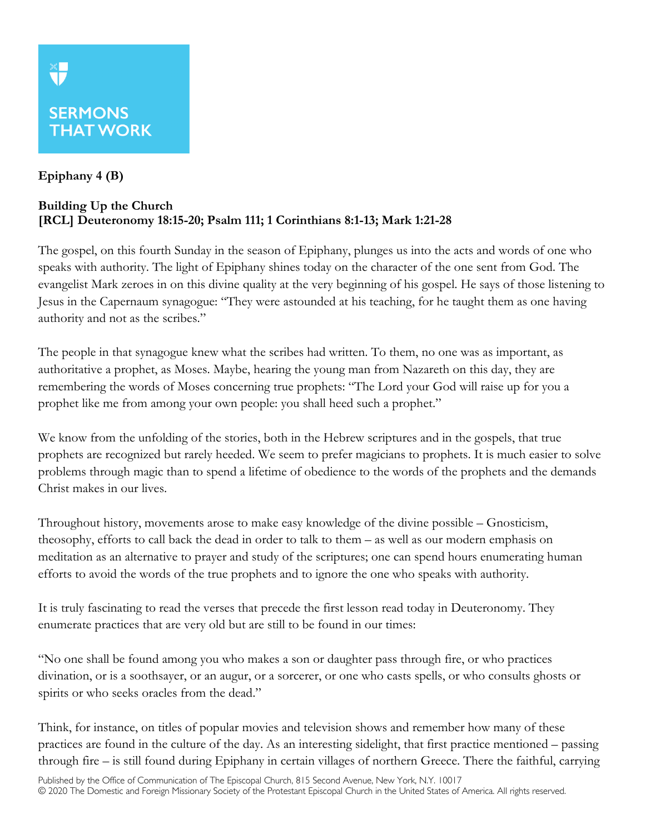## **SERMONS THAT WORK**

## **Epiphany 4 (B)**

 $\overline{\mathbf{v}}$ 

## **Building Up the Church [RCL] Deuteronomy 18:15-20; Psalm 111; 1 Corinthians 8:1-13; Mark 1:21-28**

The gospel, on this fourth Sunday in the season of Epiphany, plunges us into the acts and words of one who speaks with authority. The light of Epiphany shines today on the character of the one sent from God. The evangelist Mark zeroes in on this divine quality at the very beginning of his gospel. He says of those listening to Jesus in the Capernaum synagogue: "They were astounded at his teaching, for he taught them as one having authority and not as the scribes."

The people in that synagogue knew what the scribes had written. To them, no one was as important, as authoritative a prophet, as Moses. Maybe, hearing the young man from Nazareth on this day, they are remembering the words of Moses concerning true prophets: "The Lord your God will raise up for you a prophet like me from among your own people: you shall heed such a prophet."

We know from the unfolding of the stories, both in the Hebrew scriptures and in the gospels, that true prophets are recognized but rarely heeded. We seem to prefer magicians to prophets. It is much easier to solve problems through magic than to spend a lifetime of obedience to the words of the prophets and the demands Christ makes in our lives.

Throughout history, movements arose to make easy knowledge of the divine possible – Gnosticism, theosophy, efforts to call back the dead in order to talk to them – as well as our modern emphasis on meditation as an alternative to prayer and study of the scriptures; one can spend hours enumerating human efforts to avoid the words of the true prophets and to ignore the one who speaks with authority.

It is truly fascinating to read the verses that precede the first lesson read today in Deuteronomy. They enumerate practices that are very old but are still to be found in our times:

"No one shall be found among you who makes a son or daughter pass through fire, or who practices divination, or is a soothsayer, or an augur, or a sorcerer, or one who casts spells, or who consults ghosts or spirits or who seeks oracles from the dead."

Think, for instance, on titles of popular movies and television shows and remember how many of these practices are found in the culture of the day. As an interesting sidelight, that first practice mentioned – passing through fire – is still found during Epiphany in certain villages of northern Greece. There the faithful, carrying